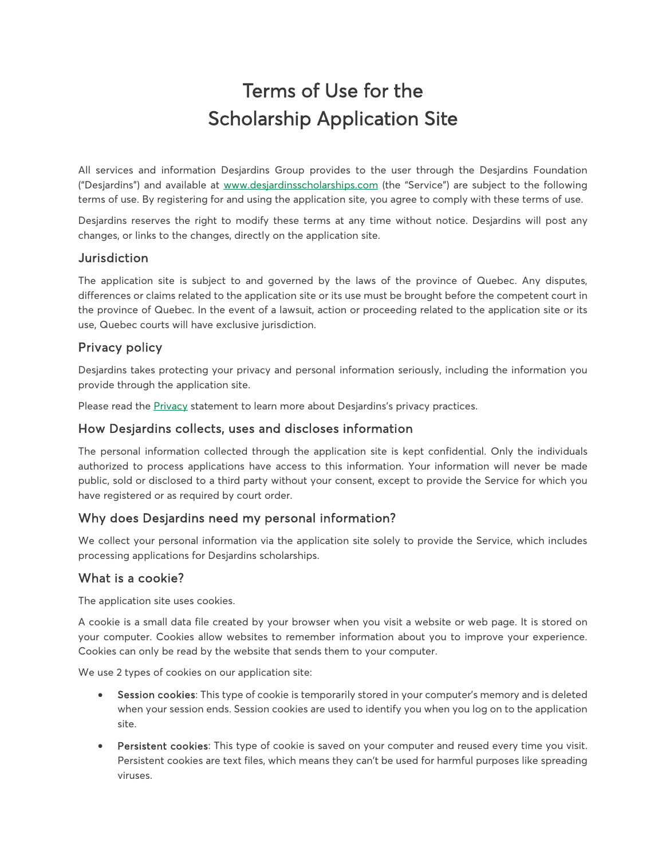# Terms of Use for the Scholarship Application Site

All services and information Desjardins Group provides to the user through the Desjardins Foundation ("Desjardins") and available at [www.desjardinsscholarships.com](http://www.desjardinsscholarships.com/) (the "Service") are subject to the following terms of use. By registering for and using the application site, you agree to comply with these terms of use.

Desjardins reserves the right to modify these terms at any time without notice. Desjardins will post any changes, or links to the changes, directly on the application site.

## **Jurisdiction**

The application site is subject to and governed by the laws of the province of Quebec. Any disputes, differences or claims related to the application site or its use must be brought before the competent court in the province of Quebec. In the event of a lawsuit, action or proceeding related to the application site or its use, Quebec courts will have exclusive jurisdiction.

## Privacy policy

Desjardins takes protecting your privacy and personal information seriously, including the information you provide through the application site.

Please read the **Privacy** statement to learn more about Desjardins's privacy practices.

#### How Desjardins collects, uses and discloses information

The personal information collected through the application site is kept confidential. Only the individuals authorized to process applications have access to this information. Your information will never be made public, sold or disclosed to a third party without your consent, except to provide the Service for which you have registered or as required by court order.

### Why does Desjardins need my personal information?

We collect your personal information via the application site solely to provide the Service, which includes processing applications for Desjardins scholarships.

### What is a cookie?

The application site uses cookies.

A cookie is a small data file created by your browser when you visit a website or web page. It is stored on your computer. Cookies allow websites to remember information about you to improve your experience. Cookies can only be read by the website that sends them to your computer.

We use 2 types of cookies on our application site:

- Session cookies: This type of cookie is temporarily stored in your computer's memory and is deleted when your session ends. Session cookies are used to identify you when you log on to the application site.
- Persistent cookies: This type of cookie is saved on your computer and reused every time you visit. Persistent cookies are text files, which means they can't be used for harmful purposes like spreading viruses.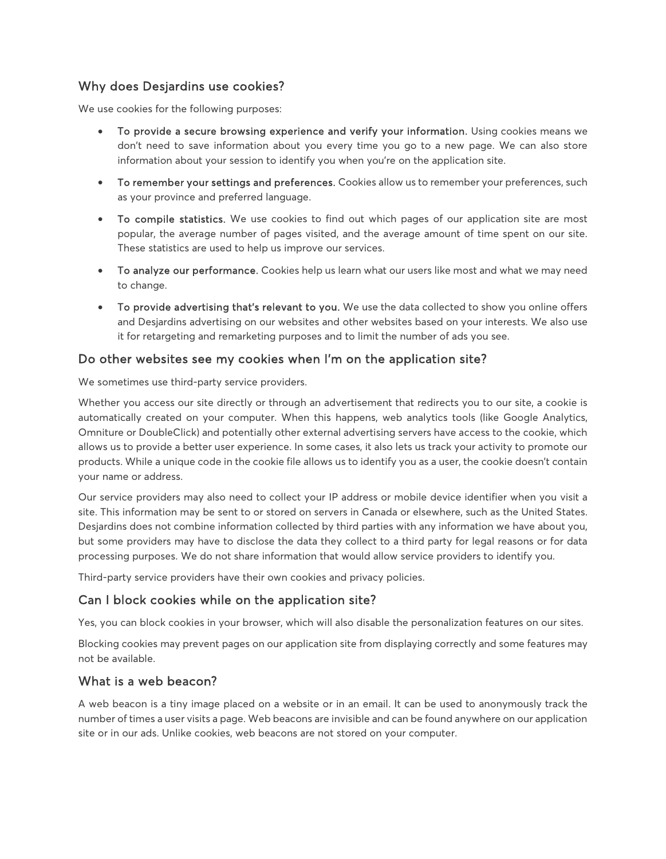# Why does Desjardins use cookies?

We use cookies for the following purposes:

- To provide a secure browsing experience and verify your information. Using cookies means we don't need to save information about you every time you go to a new page. We can also store information about your session to identify you when you're on the application site.
- To remember your settings and preferences. Cookies allow us to remember your preferences, such as your province and preferred language.
- To compile statistics. We use cookies to find out which pages of our application site are most popular, the average number of pages visited, and the average amount of time spent on our site. These statistics are used to help us improve our services.
- To analyze our performance. Cookies help us learn what our users like most and what we may need to change.
- To provide advertising that's relevant to you. We use the data collected to show you online offers and Desjardins advertising on our websites and other websites based on your interests. We also use it for retargeting and remarketing purposes and to limit the number of ads you see.

### Do other websites see my cookies when I'm on the application site?

We sometimes use third-party service providers.

Whether you access our site directly or through an advertisement that redirects you to our site, a cookie is automatically created on your computer. When this happens, web analytics tools (like Google Analytics, Omniture or DoubleClick) and potentially other external advertising servers have access to the cookie, which allows us to provide a better user experience. In some cases, it also lets us track your activity to promote our products. While a unique code in the cookie file allows us to identify you as a user, the cookie doesn't contain your name or address.

Our service providers may also need to collect your IP address or mobile device identifier when you visit a site. This information may be sent to or stored on servers in Canada or elsewhere, such as the United States. Desjardins does not combine information collected by third parties with any information we have about you, but some providers may have to disclose the data they collect to a third party for legal reasons or for data processing purposes. We do not share information that would allow service providers to identify you.

Third-party service providers have their own cookies and privacy policies.

# Can I block cookies while on the application site?

Yes, you can block cookies in your browser, which will also disable the personalization features on our sites.

Blocking cookies may prevent pages on our application site from displaying correctly and some features may not be available.

### What is a web beacon?

A web beacon is a tiny image placed on a website or in an email. It can be used to anonymously track the number of times a user visits a page. Web beacons are invisible and can be found anywhere on our application site or in our ads. Unlike cookies, web beacons are not stored on your computer.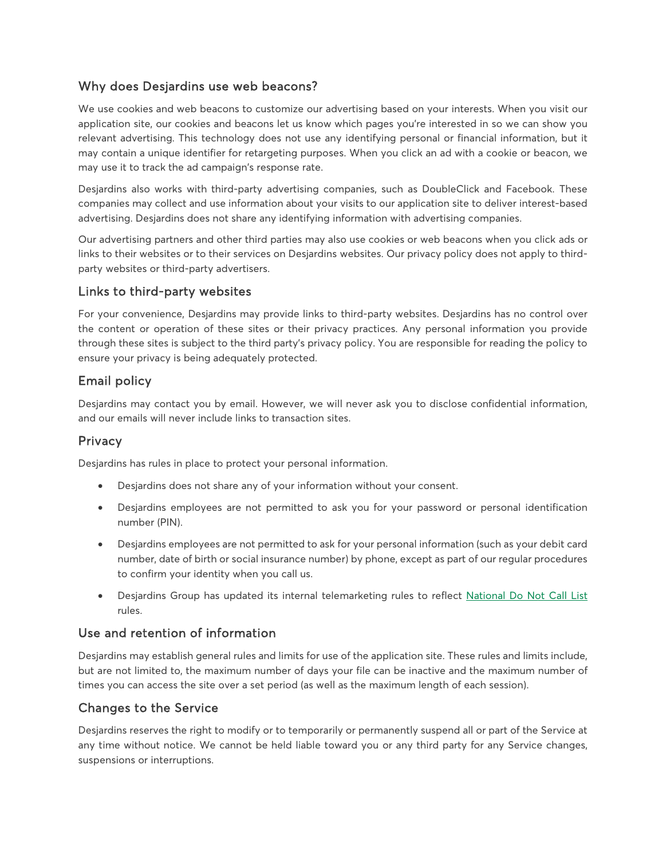# Why does Desjardins use web beacons?

We use cookies and web beacons to customize our advertising based on your interests. When you visit our application site, our cookies and beacons let us know which pages you're interested in so we can show you relevant advertising. This technology does not use any identifying personal or financial information, but it may contain a unique identifier for retargeting purposes. When you click an ad with a cookie or beacon, we may use it to track the ad campaign's response rate.

Desjardins also works with third-party advertising companies, such as DoubleClick and Facebook. These companies may collect and use information about your visits to our application site to deliver interest-based advertising. Desjardins does not share any identifying information with advertising companies.

Our advertising partners and other third parties may also use cookies or web beacons when you click ads or links to their websites or to their services on Desjardins websites. Our privacy policy does not apply to thirdparty websites or third-party advertisers.

# Links to third-party websites

For your convenience, Desjardins may provide links to third-party websites. Desjardins has no control over the content or operation of these sites or their privacy practices. Any personal information you provide through these sites is subject to the third party's privacy policy. You are responsible for reading the policy to ensure your privacy is being adequately protected.

# Email policy

Desjardins may contact you by email. However, we will never ask you to disclose confidential information, and our emails will never include links to transaction sites.

## **Privacy**

Desjardins has rules in place to protect your personal information.

- Desjardins does not share any of your information without your consent.
- Desjardins employees are not permitted to ask you for your password or personal identification number (PIN).
- Desjardins employees are not permitted to ask for your personal information (such as your debit card number, date of birth or social insurance number) by phone, except as part of our regular procedures to confirm your identity when you call us.
- Desjardins Group has updated its internal telemarketing rules to reflect [National Do Not Call List](https://www.desjardins.com/ca/privacy/national-do-not-call-list/index.jsp) rules.

## Use and retention of information

Desjardins may establish general rules and limits for use of the application site. These rules and limits include, but are not limited to, the maximum number of days your file can be inactive and the maximum number of times you can access the site over a set period (as well as the maximum length of each session).

## Changes to the Service

Desjardins reserves the right to modify or to temporarily or permanently suspend all or part of the Service at any time without notice. We cannot be held liable toward you or any third party for any Service changes, suspensions or interruptions.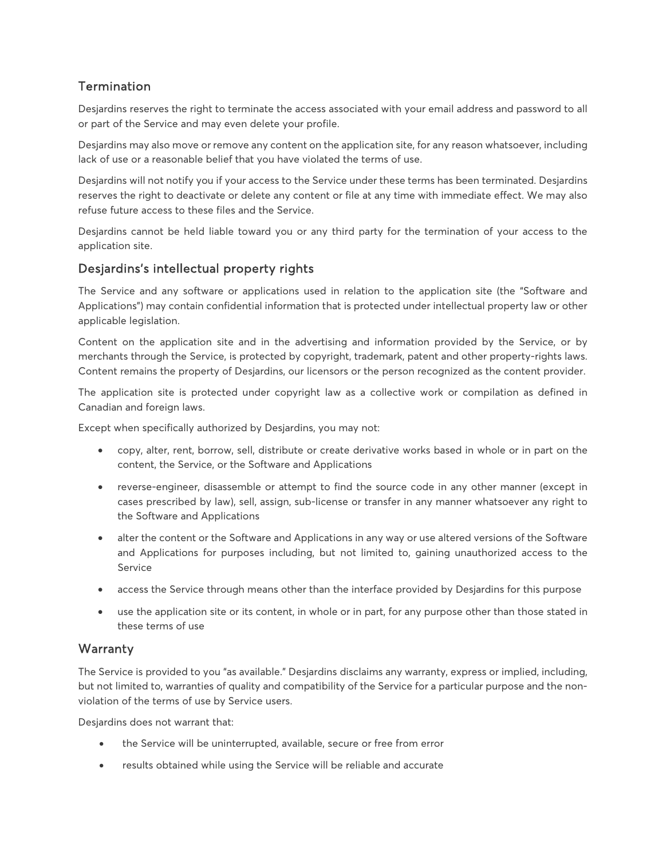# **Termination**

Desjardins reserves the right to terminate the access associated with your email address and password to all or part of the Service and may even delete your profile.

Desjardins may also move or remove any content on the application site, for any reason whatsoever, including lack of use or a reasonable belief that you have violated the terms of use.

Desjardins will not notify you if your access to the Service under these terms has been terminated. Desjardins reserves the right to deactivate or delete any content or file at any time with immediate effect. We may also refuse future access to these files and the Service.

Desjardins cannot be held liable toward you or any third party for the termination of your access to the application site.

## Desjardins's intellectual property rights

The Service and any software or applications used in relation to the application site (the "Software and Applications") may contain confidential information that is protected under intellectual property law or other applicable legislation.

Content on the application site and in the advertising and information provided by the Service, or by merchants through the Service, is protected by copyright, trademark, patent and other property-rights laws. Content remains the property of Desjardins, our licensors or the person recognized as the content provider.

The application site is protected under copyright law as a collective work or compilation as defined in Canadian and foreign laws.

Except when specifically authorized by Desjardins, you may not:

- copy, alter, rent, borrow, sell, distribute or create derivative works based in whole or in part on the content, the Service, or the Software and Applications
- reverse-engineer, disassemble or attempt to find the source code in any other manner (except in cases prescribed by law), sell, assign, sub-license or transfer in any manner whatsoever any right to the Software and Applications
- alter the content or the Software and Applications in any way or use altered versions of the Software and Applications for purposes including, but not limited to, gaining unauthorized access to the Service
- access the Service through means other than the interface provided by Desjardins for this purpose
- use the application site or its content, in whole or in part, for any purpose other than those stated in these terms of use

## **Warranty**

The Service is provided to you "as available." Desjardins disclaims any warranty, express or implied, including, but not limited to, warranties of quality and compatibility of the Service for a particular purpose and the nonviolation of the terms of use by Service users.

Desjardins does not warrant that:

- the Service will be uninterrupted, available, secure or free from error
- results obtained while using the Service will be reliable and accurate